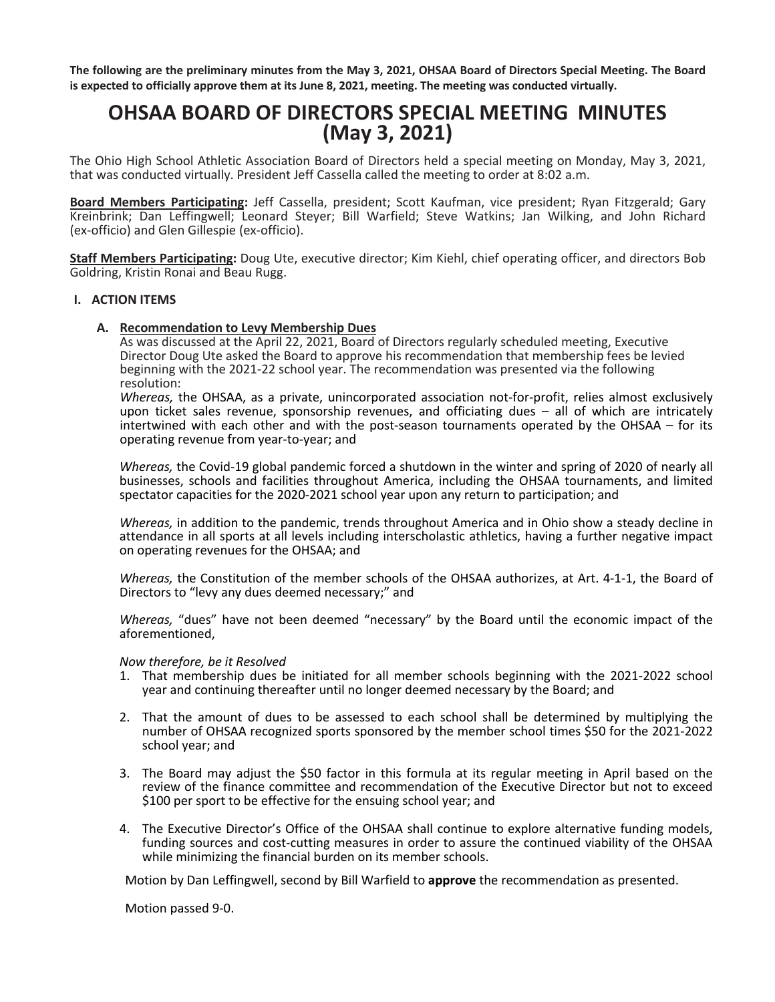**The following are the preliminary minutes from the May 3, 2021, OHSAA Board of Directors Special Meeting. The Board is expected to officially approve them at its June 8, 2021, meeting. The meeting was conducted virtually.**

# **OHSAA BOARD OF DIRECTORS SPECIAL MEETING MINUTES (May 3, 2021)**

The Ohio High School Athletic Association Board of Directors held a special meeting on Monday, May 3, 2021, that was conducted virtually. President Jeff Cassella called the meeting to order at 8:02 a.m.

**Board Members Participating:** Jeff Cassella, president; Scott Kaufman, vice president; Ryan Fitzgerald; Gary Kreinbrink; Dan Leffingwell; Leonard Steyer; Bill Warfield; Steve Watkins; Jan Wilking, and John Richard (ex-officio) and Glen Gillespie (ex-officio).

**Staff Members Participating:** Doug Ute, executive director; Kim Kiehl, chief operating officer, and directors Bob Goldring, Kristin Ronai and Beau Rugg.

# **I. ACTION ITEMS**

# **A. Recommendation to Levy Membership Dues**

As was discussed at the April 22, 2021, Board of Directors regularly scheduled meeting, Executive Director Doug Ute asked the Board to approve his recommendation that membership fees be levied beginning with the 2021-22 school year. The recommendation was presented via the following resolution:

*Whereas,* the OHSAA, as a private, unincorporated association not-for-profit, relies almost exclusively upon ticket sales revenue, sponsorship revenues, and officiating dues – all of which are intricately intertwined with each other and with the post-season tournaments operated by the OHSAA – for its operating revenue from year-to-year; and

*Whereas,* the Covid-19 global pandemic forced a shutdown in the winter and spring of 2020 of nearly all businesses, schools and facilities throughout America, including the OHSAA tournaments, and limited spectator capacities for the 2020-2021 school year upon any return to participation; and

*Whereas,* in addition to the pandemic, trends throughout America and in Ohio show a steady decline in attendance in all sports at all levels including interscholastic athletics, having a further negative impact on operating revenues for the OHSAA; and

*Whereas,* the Constitution of the member schools of the OHSAA authorizes, at Art. 4-1-1, the Board of Directors to "levy any dues deemed necessary;" and

*Whereas,* "dues" have not been deemed "necessary" by the Board until the economic impact of the aforementioned,

#### *Now therefore, be it Resolved*

- 1. That membership dues be initiated for all member schools beginning with the 2021-2022 school year and continuing thereafter until no longer deemed necessary by the Board; and
- 2. That the amount of dues to be assessed to each school shall be determined by multiplying the number of OHSAA recognized sports sponsored by the member school times \$50 for the 2021-2022 school year; and
- 3. The Board may adjust the \$50 factor in this formula at its regular meeting in April based on the review of the finance committee and recommendation of the Executive Director but not to exceed \$100 per sport to be effective for the ensuing school year; and
- 4. The Executive Director's Office of the OHSAA shall continue to explore alternative funding models, funding sources and cost-cutting measures in order to assure the continued viability of the OHSAA while minimizing the financial burden on its member schools.

Motion by Dan Leffingwell, second by Bill Warfield to **approve** the recommendation as presented.

Motion passed 9-0.